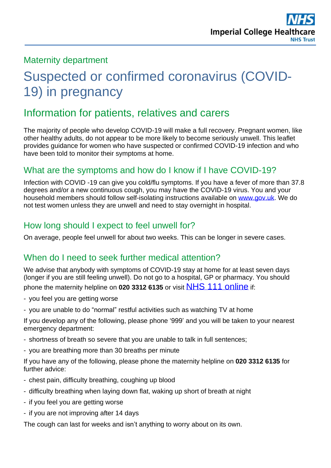## Maternity department

# Suspected or confirmed coronavirus (COVID-19) in pregnancy

# Information for patients, relatives and carers

The majority of people who develop COVID-19 will make a full recovery. Pregnant women, like other healthy adults, do not appear to be more likely to become seriously unwell. This leaflet provides guidance for women who have suspected or confirmed COVID-19 infection and who have been told to monitor their symptoms at home.

#### What are the symptoms and how do I know if I have COVID-19?

Infection with COVID -19 can give you cold/flu symptoms. If you have a fever of more than 37.8 degrees and/or a new continuous cough, you may have the COVID-19 virus. You and your household members should follow self-isolating instructions available on [www.gov.uk.](http://www.gov.uk/) We do not test women unless they are unwell and need to stay overnight in hospital.

#### How long should I expect to feel unwell for?

On average, people feel unwell for about two weeks. This can be longer in severe cases.

#### When do I need to seek further medical attention?

We advise that anybody with symptoms of COVID-19 stay at home for at least seven days (longer if you are still feeling unwell). Do not go to a hospital, GP or pharmacy. You should phone the maternity helpline on **020 3312 6135** or visit NHS 111 [online](https://111.nhs.uk/covid-19) if:

- you feel you are getting worse
- you are unable to do "normal" restful activities such as watching TV at home

If you develop any of the following, please phone '999' and you will be taken to your nearest emergency department:

- shortness of breath so severe that you are unable to talk in full sentences;
- you are breathing more than 30 breaths per minute

If you have any of the following, please phone the maternity helpline on **020 3312 6135** for further advice:

- chest pain, difficulty breathing, coughing up blood
- difficulty breathing when laying down flat, waking up short of breath at night
- if you feel you are getting worse
- if you are not improving after 14 days

The cough can last for weeks and isn't anything to worry about on its own.